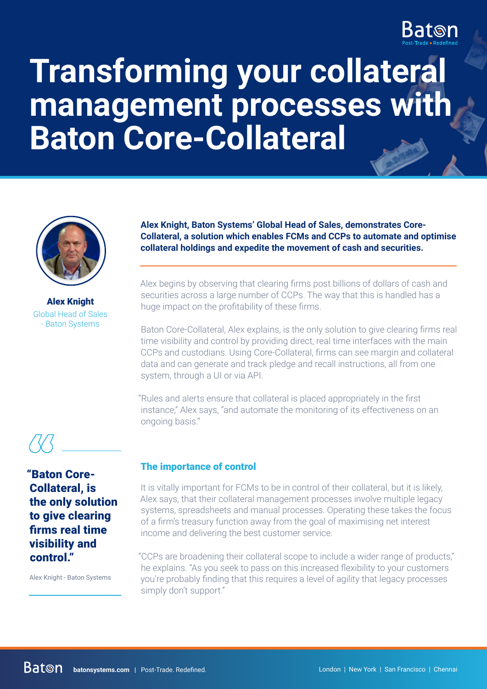

# **Transforming your collateral management processes with Baton Core-Collateral**



Alex Knight Global Head of Sales - Baton Systems

**Alex Knight, Baton Systems' Global Head of Sales, demonstrates Core-Collateral, a solution which enables FCMs and CCPs to automate and optimise collateral holdings and expedite the movement of cash and securities.**

Alex begins by observing that clearing firms post billions of dollars of cash and securities across a large number of CCPs. The way that this is handled has a huge impact on the profitability of these firms.

Baton Core-Collateral, Alex explains, is the only solution to give clearing firms real time visibility and control by providing direct, real time interfaces with the main CCPs and custodians. Using Core-Collateral, firms can see margin and collateral data and can generate and track pledge and recall instructions, all from one system, through a UI or via API.

"Rules and alerts ensure that collateral is placed appropriately in the first instance," Alex says, "and automate the monitoring of its effectiveness on an ongoing basis."

"Baton Core-Collateral, is the only solution to give clearing firms real time visibility and control."

Alex Knight - Baton Systems

## The importance of control

It is vitally important for FCMs to be in control of their collateral, but it is likely, Alex says, that their collateral management processes involve multiple legacy systems, spreadsheets and manual processes. Operating these takes the focus of a firm's treasury function away from the goal of maximising net interest income and delivering the best customer service.

"CCPs are broadening their collateral scope to include a wider range of products," he explains. "As you seek to pass on this increased flexibility to your customers you're probably finding that this requires a level of agility that legacy processes simply don't support."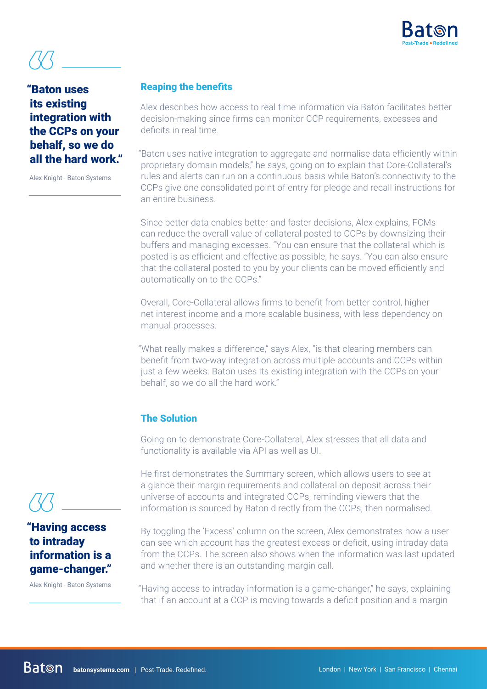

# "Baton uses damarka <u>and the set of the set of the set of the set of the set of the set of the set of the set of the set of the set of the set of the set of the set of the set of the set of the set of the set of the set of the set of </u> integration with the CCPs on your behalf, so we do all the hard work."

Alex Knight - Baton Systems

### Reaping the benefits

Alex describes how access to real time information via Baton facilitates better decision-making since firms can monitor CCP requirements, excesses and deficits in real time.

"Baton uses native integration to aggregate and normalise data efficiently within proprietary domain models," he says, going on to explain that Core-Collateral's rules and alerts can run on a continuous basis while Baton's connectivity to the CCPs give one consolidated point of entry for pledge and recall instructions for an entire business.

Since better data enables better and faster decisions, Alex explains, FCMs can reduce the overall value of collateral posted to CCPs by downsizing their buffers and managing excesses. "You can ensure that the collateral which is posted is as efficient and effective as possible, he says. "You can also ensure that the collateral posted to you by your clients can be moved efficiently and automatically on to the CCPs."

Overall, Core-Collateral allows firms to benefit from better control, higher net interest income and a more scalable business, with less dependency on manual processes.

"What really makes a difference," says Alex, "is that clearing members can benefit from two-way integration across multiple accounts and CCPs within just a few weeks. Baton uses its existing integration with the CCPs on your behalf, so we do all the hard work."

### The Solution

Going on to demonstrate Core-Collateral, Alex stresses that all data and functionality is available via API as well as UI.

He first demonstrates the Summary screen, which allows users to see at a glance their margin requirements and collateral on deposit across their universe of accounts and integrated CCPs, reminding viewers that the information is sourced by Baton directly from the CCPs, then normalised.

By toggling the 'Excess' column on the screen, Alex demonstrates how a user can see which account has the greatest excess or deficit, using intraday data from the CCPs. The screen also shows when the information was last updated and whether there is an outstanding margin call.

"Having access to intraday information is a game-changer," he says, explaining that if an account at a CCP is moving towards a deficit position and a margin

# "Having access to intraday information is a game-changer." *<u>(//)</u>*<br> **"Havii**<br> **to int**

Alex Knight - Baton Systems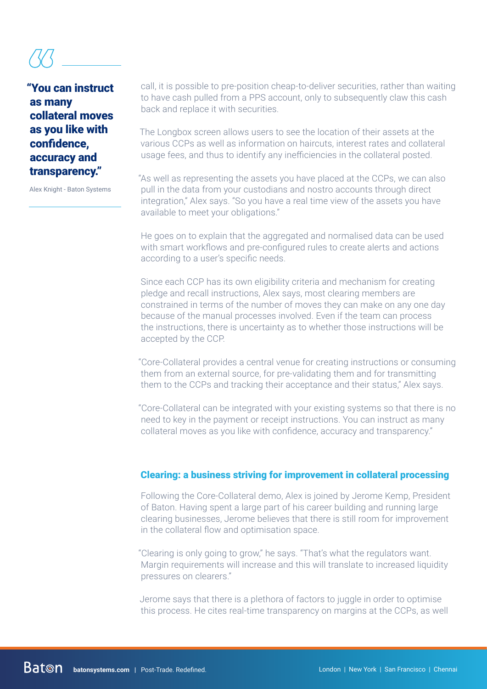# "You can instruct as many collateral moves as you like with confidence, accuracy and transparency." *({{\\frac{\frac{\frac{\frac{\frac{\frac{\frac{\frac{\frac{\frac{\frac{\frac{\frac{\frac{\frac{\frac{\frac{\frac{\frac{\frac{\frac{\frac{\frac{\frac{\frac{\frac{\frac{\frac{\frac{\frac{\frac{\frac{\frac{\frac{\frac{\frac{\*

Alex Knight - Baton Systems

call, it is possible to pre-position cheap-to-deliver securities, rather than waiting to have cash pulled from a PPS account, only to subsequently claw this cash back and replace it with securities.

The Longbox screen allows users to see the location of their assets at the various CCPs as well as information on haircuts, interest rates and collateral usage fees, and thus to identify any inefficiencies in the collateral posted.

"As well as representing the assets you have placed at the CCPs, we can also pull in the data from your custodians and nostro accounts through direct integration," Alex says. "So you have a real time view of the assets you have available to meet your obligations."

He goes on to explain that the aggregated and normalised data can be used with smart workflows and pre-configured rules to create alerts and actions according to a user's specific needs.

Since each CCP has its own eligibility criteria and mechanism for creating pledge and recall instructions, Alex says, most clearing members are constrained in terms of the number of moves they can make on any one day because of the manual processes involved. Even if the team can process the instructions, there is uncertainty as to whether those instructions will be accepted by the CCP.

"Core-Collateral provides a central venue for creating instructions or consuming them from an external source, for pre-validating them and for transmitting them to the CCPs and tracking their acceptance and their status," Alex says.

"Core-Collateral can be integrated with your existing systems so that there is no need to key in the payment or receipt instructions. You can instruct as many collateral moves as you like with confidence, accuracy and transparency."

### Clearing: a business striving for improvement in collateral processing

Following the Core-Collateral demo, Alex is joined by Jerome Kemp, President of Baton. Having spent a large part of his career building and running large clearing businesses, Jerome believes that there is still room for improvement in the collateral flow and optimisation space.

"Clearing is only going to grow," he says. "That's what the regulators want. Margin requirements will increase and this will translate to increased liquidity pressures on clearers."

Jerome says that there is a plethora of factors to juggle in order to optimise this process. He cites real-time transparency on margins at the CCPs, as well